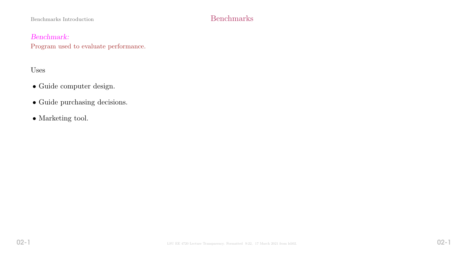# Benchmarks Introduction Benchmarks

## Benchmark:

Program used to evaluate performance.

# Uses

- Guide computer design.
- Guide purchasing decisions.
- $\bullet$  Marketing tool.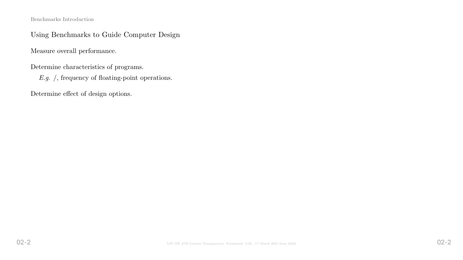Benchmarks Introduction

## Using Benchmarks to Guide Computer Design

Measure overall performance.

Determine characteristics of programs.

E.g. /, frequency of floating-point operations.

Determine effect of design options.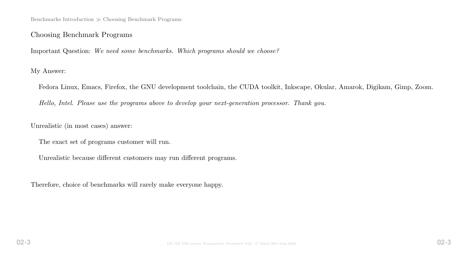Benchmarks Introduction  $\gg$  Choosing Benchmark Programs

## Choosing Benchmark Programs

Important Question: We need some benchmarks. Which programs should we choose?

My Answer:

Fedora Linux, Emacs, Firefox, the GNU development toolchain, the CUDA toolkit, Inkscape, Okular, Amarok, Digikam, Gimp, Zoom.

Hello, Intel. Please use the programs above to develop your next-generation processor. Thank you.

Unrealistic (in most cases) answer:

The exact set of programs customer will run.

Unrealistic because different customers may run different programs.

Therefore, choice of benchmarks will rarely make everyone happy.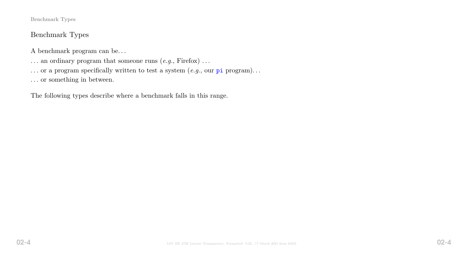# Benchmark Types

A benchmark program can be. . .

- $\ldots$  an ordinary program that someone runs  $(e.g.,$  Firefox)  $\ldots$
- $\ldots$  or a program specifically written to test a system  $(e.g.,\,$  our pi program)...
- $\ldots$  or something in between.

The following types describe where a benchmark falls in this range.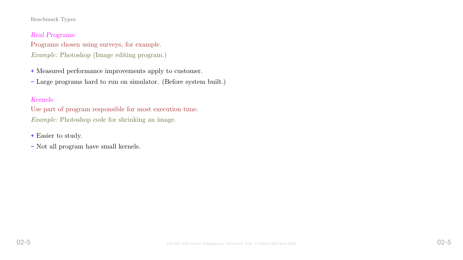## Real Programs:

Programs chosen using surveys, for example.

Example: Photoshop (Image editing program.)

+ Measured performance improvements apply to customer.

- Large programs hard to run on simulator. (Before system built.)

## Kernels:

Use part of program responsible for most execution time. Example: Photoshop code for shrinking an image.

+ Easier to study.

- Not all program have small kernels.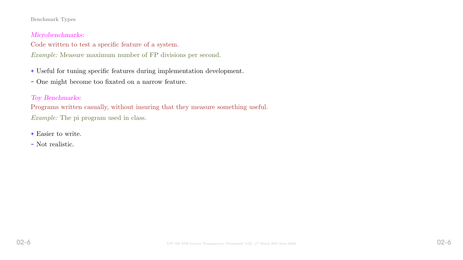### Microbenchmarks:

## Code written to test a specific feature of a system.

Example: Measure maximum number of FP divisions per second.

+ Useful for tuning specific features during implementation development.

- One might become too fixated on a narrow feature.

## Toy Benchmarks:

Programs written casually, without insuring that they measure something useful. Example: The pi program used in class.

- + Easier to write.
- Not realistic.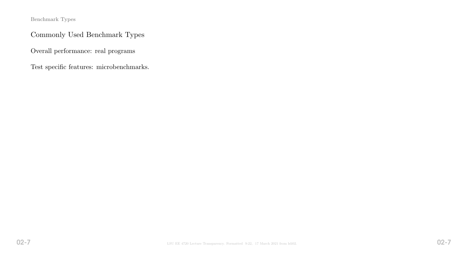# Commonly Used Benchmark Types

Overall performance: real programs

Test specific features: microbenchmarks.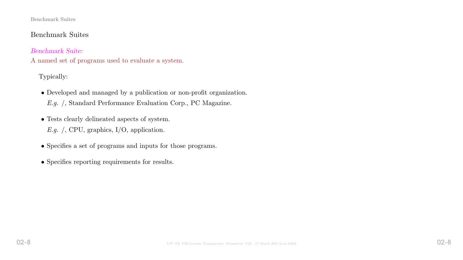#### Benchmark Suites

# Benchmark Suites

Benchmark Suite:

A named set of programs used to evaluate a system.

Typically:

- Developed and managed by a publication or non-profit organization.
	- E.g. /, Standard Performance Evaluation Corp., PC Magazine.
- Tests clearly delineated aspects of system.
	- E.g. /, CPU, graphics, I/O, application.
- Specifies a set of programs and inputs for those programs.
- Specifies reporting requirements for results.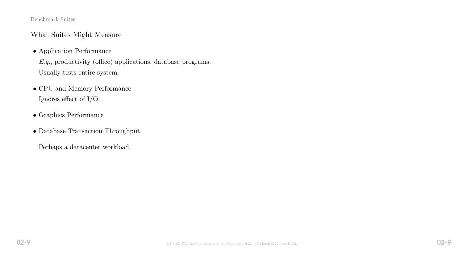#### Benchmark Suites

## What Suites Might Measure

• Application Performance

E.g., productivity (office) applications, database programs. Usually tests entire system.

- CPU and Memory Performance Ignores effect of I/O.
- Graphics Performance
- Database Transaction Throughput

Perhaps a datacenter workload.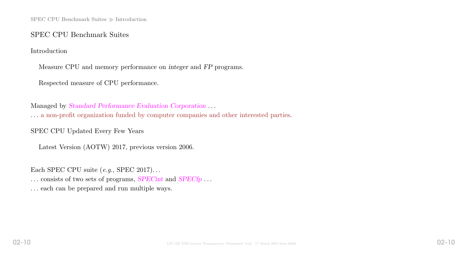SPEC CPU Benchmark Suites  $\gg$  Introduction

### SPEC CPU Benchmark Suites

Introduction

Measure CPU and memory performance on integer and FP programs.

Respected measure of CPU performance.

Managed by Standard Performance Evaluation Corporation . . . . . . a non-profit organization funded by computer companies and other interested parties.

SPEC CPU Updated Every Few Years

Latest Version (AOTW) 2017, previous version 2006.

Each SPEC CPU suite  $(e.g., \text{ SPEC } 2017) \dots$ ... consists of two sets of programs, SPECint and SPECfp... . . . each can be prepared and run multiple ways.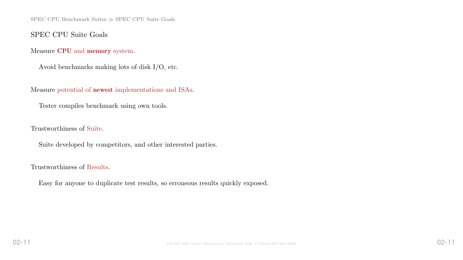SPEC CPU Benchmark Suites  $\gg$  SPEC CPU Suite Goals

## SPEC CPU Suite Goals

Measure CPU and memory system.

Avoid benchmarks making lots of disk I/O, etc.

Measure potential of newest implementations and ISAs.

Tester compiles benchmark using own tools.

Trustworthiness of Suite.

Suite developed by competitors, and other interested parties.

Trustworthiness of Results.

Easy for anyone to duplicate test results, so erroneous results quickly exposed.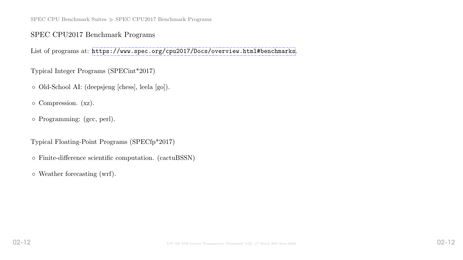SPEC CPU Benchmark Suites  $\gg$  SPEC CPU2017 Benchmark Programs

## SPEC CPU2017 Benchmark Programs

List of programs at: <https://www.spec.org/cpu2017/Docs/overview.html#benchmarks>.

Typical Integer Programs (SPECint\*2017)

- Old-School AI: (deepsjeng [chess], leela [go]).
- Compression. (xz).
- Programming: (gcc, perl).

Typical Floating-Point Programs (SPECfp\*2017)

- Finite-difference scientific computation. (cactuBSSN)
- Weather forecasting (wrf).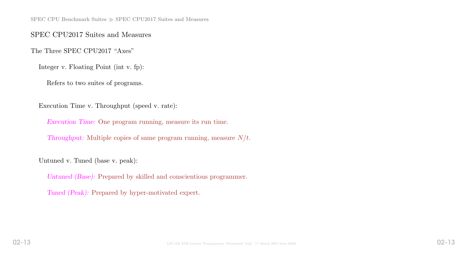SPEC CPU Benchmark Suites  $\gg$  SPEC CPU2017 Suites and Measures

### SPEC CPU2017 Suites and Measures

The Three SPEC CPU2017 "Axes"

Integer v. Floating Point (int v. fp):

Refers to two suites of programs.

Execution Time v. Throughput (speed v. rate):

Execution Time: One program running, measure its run time.

Throughput: Multiple copies of same program running, measure  $N/t$ .

Untuned v. Tuned (base v. peak):

Untuned (Base): Prepared by skilled and conscientious programmer.

Tuned (Peak): Prepared by hyper-motivated expert.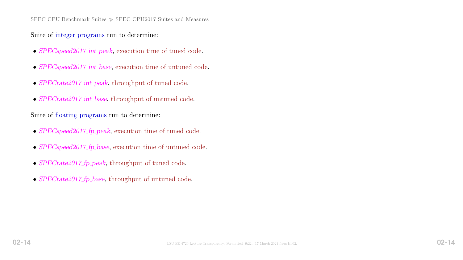SPEC CPU Benchmark Suites  $\gg$  SPEC CPU2017 Suites and Measures

Suite of integer programs run to determine:

- SPECspeed2017\_int\_peak, execution time of tuned code.
- SPECspeed2017 int base, execution time of untuned code.
- SPECrate2017\_int\_peak, throughput of tuned code.
- SPECrate2017\_int\_base, throughput of untuned code.

Suite of floating programs run to determine:

- SPECspeed2017\_fp\_peak, execution time of tuned code.
- SPECspeed2017\_fp\_base, execution time of untuned code.
- SPECrate2017\_fp\_peak, throughput of tuned code.
- SPECrate2017\_fp\_base, throughput of untuned code.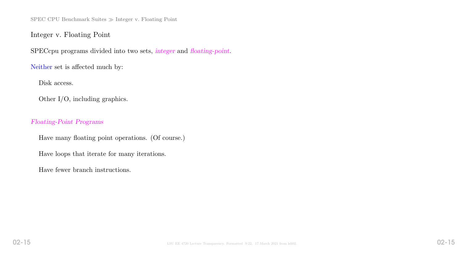SPEC CPU Benchmark Suites  $\gg$  Integer v. Floating Point

Integer v. Floating Point

SPECcpu programs divided into two sets, integer and floating-point.

Neither set is affected much by:

Disk access.

Other I/O, including graphics.

Floating-Point Programs

Have many floating point operations. (Of course.)

Have loops that iterate for many iterations.

Have fewer branch instructions.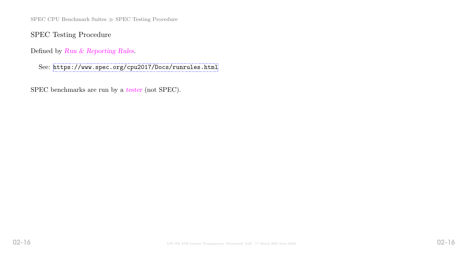SPEC CPU Benchmark Suites  $\gg$  SPEC Testing Procedure

SPEC Testing Procedure

Defined by Run & Reporting Rules.

See: <https://www.spec.org/cpu2017/Docs/runrules.html>

SPEC benchmarks are run by a tester (not SPEC).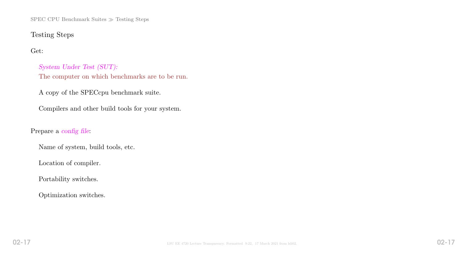SPEC CPU Benchmark Suites  $\gg$  Testing Steps

## Testing Steps

## Get:

System Under Test (SUT): The computer on which benchmarks are to be run.

A copy of the SPECcpu benchmark suite.

Compilers and other build tools for your system.

## Prepare a config file:

Name of system, build tools, etc.

Location of compiler.

Portability switches.

Optimization switches.